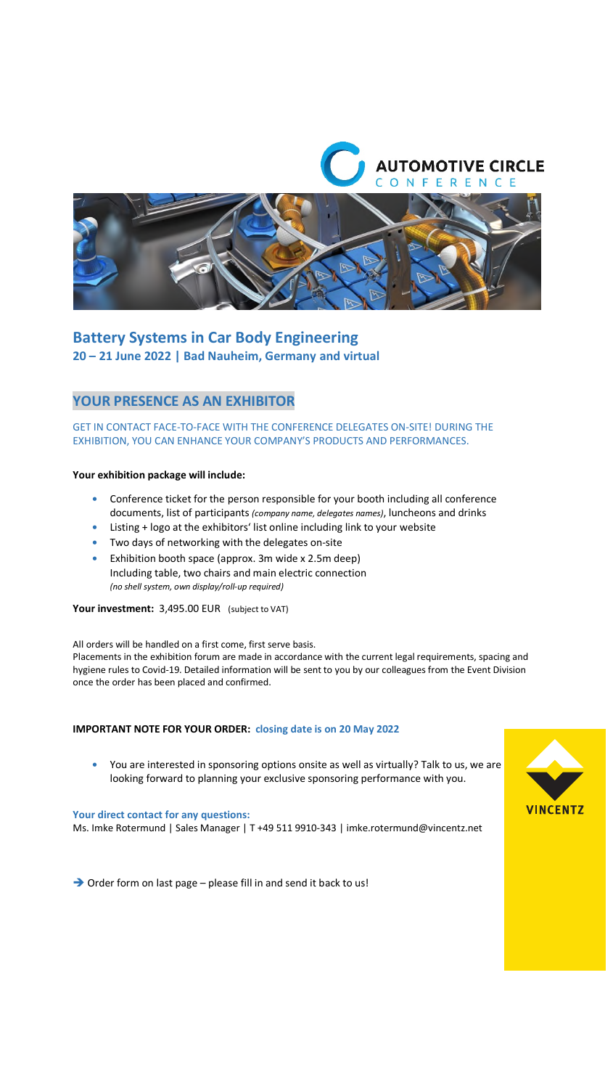



# **Battery Systems in Car Body Engineering 20 – 21 June 2022 | Bad Nauheim, Germany and virtual**

## **YOUR PRESENCE AS AN EXHIBITOR**

### GET IN CONTACT FACE-TO-FACE WITH THE CONFERENCE DELEGATES ON-SITE! DURING THE EXHIBITION, YOU CAN ENHANCE YOUR COMPANY'S PRODUCTS AND PERFORMANCES.

#### **Your exhibition package will include:**

- **•** Conference ticket for the person responsible for your booth including all conference documents, list of participants *(company name, delegates names)*, luncheons and drinks
- **•** Listing + logo at the exhibitors' list online including link to your website
- **•** Two days of networking with the delegates on-site
- **•** Exhibition booth space (approx. 3m wide x 2.5m deep) Including table, two chairs and main electric connection *(no shell system, own display/roll-up required)*

**Your investment:** 3,495.00 EUR (subject to VAT)

All orders will be handled on a first come, first serve basis.

Placements in the exhibition forum are made in accordance with the current legal requirements, spacing and hygiene rules to Covid-19. Detailed information will be sent to you by our colleagues from the Event Division once the order has been placed and confirmed.

#### **IMPORTANT NOTE FOR YOUR ORDER: closing date is on 20 May 2022**

**•** You are interested in sponsoring options onsite as well as virtually? Talk to us, we are looking forward to planning your exclusive sponsoring performance with you.

#### **Your direct contact for any questions:**

Ms. Imke Rotermund | Sales Manager | T +49 511 9910-343 | imke.rotermund@vincentz.net



→ Order form on last page – please fill in and send it back to us!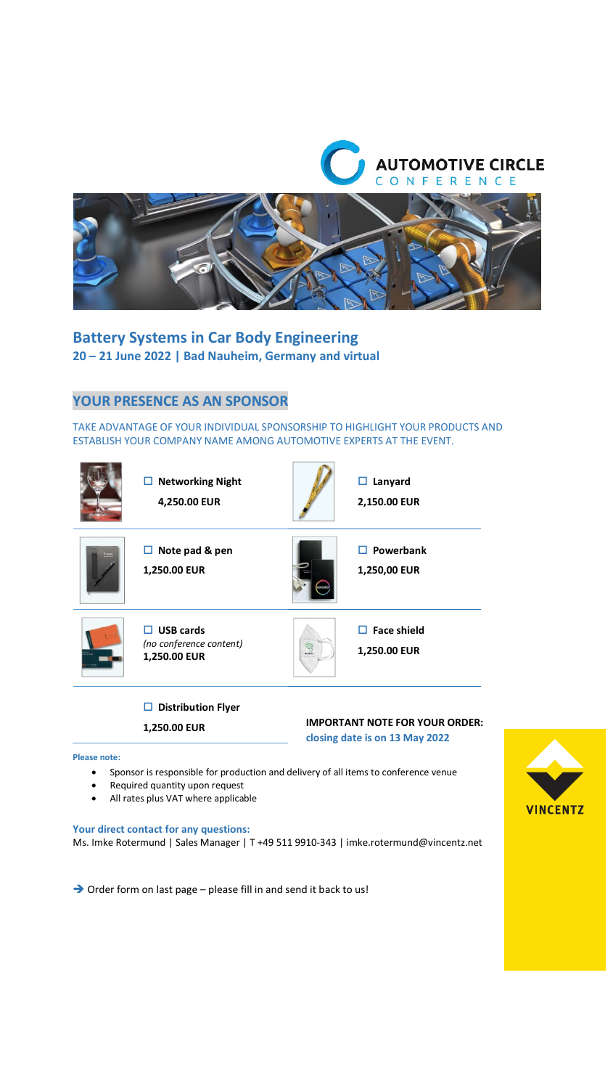



**Battery Systems in Car Body Engineering 20 – 21 June 2022 | Bad Nauheim, Germany and virtual** 

## **YOUR PRESENCE AS AN SPONSOR**

TAKE ADVANTAGE OF YOUR INDIVIDUAL SPONSORSHIP TO HIGHLIGHT YOUR PRODUCTS AND ESTABLISH YOUR COMPANY NAME AMONG AUTOMOTIVE EXPERTS AT THE EVENT.

|             | <b>Networking Night</b><br>$\Box$<br>4,250.00 EUR                |        | Lanyard<br>□<br>2,150.00 EUR            |
|-------------|------------------------------------------------------------------|--------|-----------------------------------------|
| <b>TANA</b> | $\Box$ Note pad & pen<br>1,250.00 EUR                            |        | $\Box$ Powerbank<br>1,250,00 EUR        |
|             | <b>USB cards</b><br>П<br>(no conference content)<br>1,250.00 EUR | an min | <b>Face shield</b><br>п<br>1,250.00 EUR |

### **Distribution Flyer**

**1,250.00 EUR** 

# **IMPORTANT NOTE FOR YOUR ORDER:**

**closing date is on 13 May 2022**

#### **Please note:**

- Sponsor is responsible for production and delivery of all items to conference venue
- Required quantity upon request
- All rates plus VAT where applicable

#### **Your direct contact for any questions:**

Ms. Imke Rotermund | Sales Manager | T +49 511 9910-343 | imke.rotermund@vincentz.net

 $\rightarrow$  Order form on last page – please fill in and send it back to us!